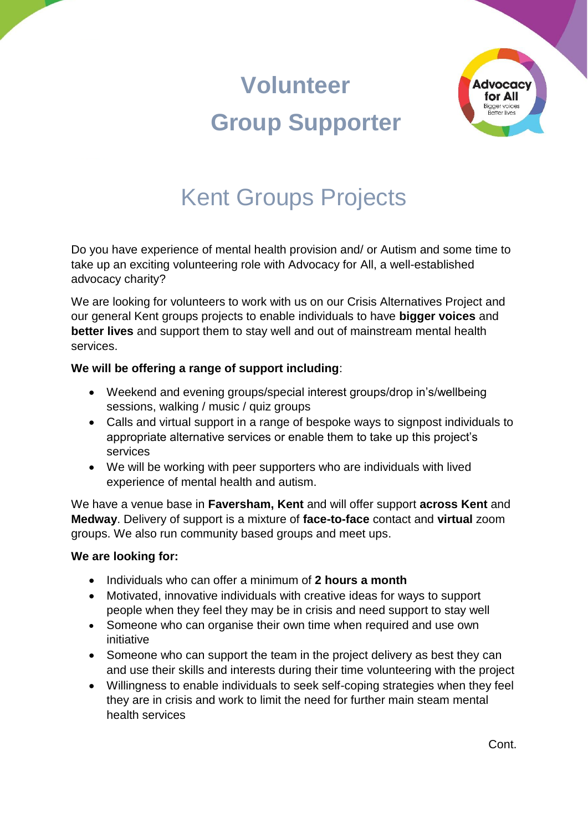# **Volunteer Group Supporter**



## Kent Groups Projects

Do you have experience of mental health provision and/ or Autism and some time to take up an exciting volunteering role with Advocacy for All, a well-established advocacy charity?

We are looking for volunteers to work with us on our Crisis Alternatives Project and our general Kent groups projects to enable individuals to have **bigger voices** and **better lives** and support them to stay well and out of mainstream mental health services.

### **We will be offering a range of support including**:

- Weekend and evening groups/special interest groups/drop in's/wellbeing sessions, walking / music / quiz groups
- Calls and virtual support in a range of bespoke ways to signpost individuals to appropriate alternative services or enable them to take up this project's services
- We will be working with peer supporters who are individuals with lived experience of mental health and autism.

We have a venue base in **Faversham, Kent** and will offer support **across Kent** and **Medway**. Delivery of support is a mixture of **face-to-face** contact and **virtual** zoom groups. We also run community based groups and meet ups.

#### **We are looking for:**

- Individuals who can offer a minimum of **2 hours a month**
- Motivated, innovative individuals with creative ideas for ways to support people when they feel they may be in crisis and need support to stay well
- Someone who can organise their own time when required and use own initiative
- Someone who can support the team in the project delivery as best they can and use their skills and interests during their time volunteering with the project
- Willingness to enable individuals to seek self-coping strategies when they feel they are in crisis and work to limit the need for further main steam mental health services

Cont.